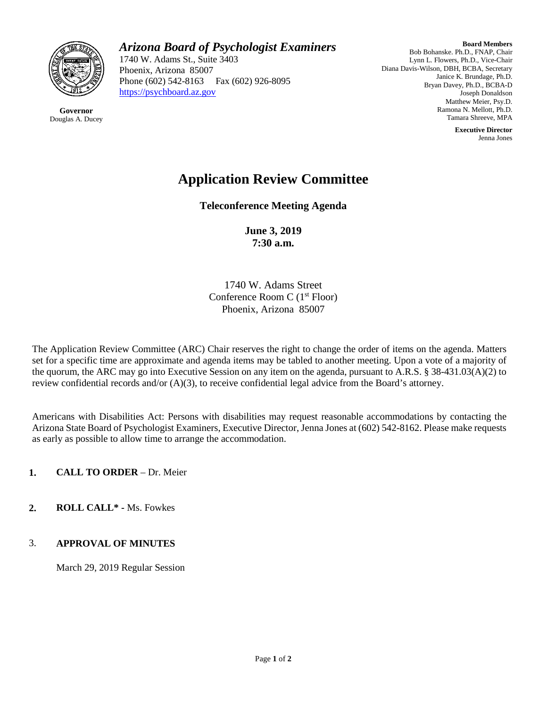

**Governor** Douglas A. Ducey

## *Arizona Board of Psychologist Examiners*

1740 W. Adams St., Suite 3403 Phoenix, Arizona 85007 Phone (602) 542-8163 Fax (602) 926-8095 [https://psychboard.az.gov](https://psychboard.az.gov/) 

**Board Members** Bob Bohanske. Ph.D., FNAP, Chair Lynn L. Flowers, Ph.D., Vice-Chair Diana Davis-Wilson, DBH, BCBA, Secretary Janice K. Brundage, Ph.D. Bryan Davey, Ph.D., BCBA-D Joseph Donaldson Matthew Meier, Psy.D. Ramona N. Mellott, Ph.D. Tamara Shreeve, MPA

> **Executive Director** Jenna Jones

# **Application Review Committee**

**Teleconference Meeting Agenda**

**June 3, 2019 7:30 a.m.**

1740 W. Adams Street Conference Room C (1<sup>st</sup> Floor) Phoenix, Arizona 85007

The Application Review Committee (ARC) Chair reserves the right to change the order of items on the agenda. Matters set for a specific time are approximate and agenda items may be tabled to another meeting. Upon a vote of a majority of the quorum, the ARC may go into Executive Session on any item on the agenda, pursuant to A.R.S. § 38-431.03(A)(2) to review confidential records and/or (A)(3), to receive confidential legal advice from the Board's attorney.

Americans with Disabilities Act: Persons with disabilities may request reasonable accommodations by contacting the Arizona State Board of Psychologist Examiners, Executive Director, Jenna Jones at (602) 542-8162. Please make requests as early as possible to allow time to arrange the accommodation.

**1. CALL TO ORDER** – Dr. Meier

**2. ROLL CALL\* -** Ms. Fowkes

#### 3. **APPROVAL OF MINUTES**

March 29, 2019 Regular Session